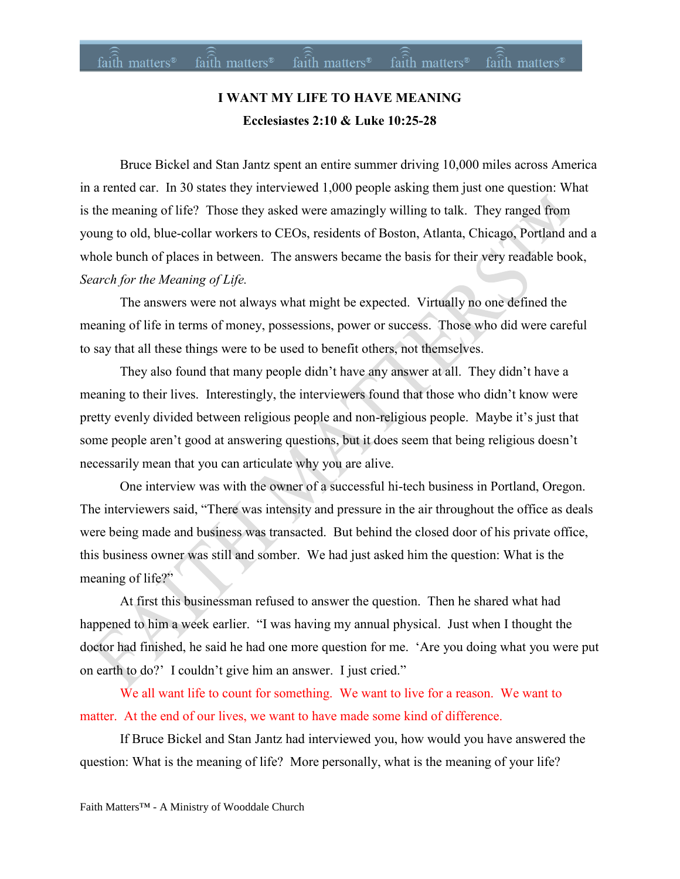# **I WANT MY LIFE TO HAVE MEANING Ecclesiastes 2:10 & Luke 10:25-28**

Bruce Bickel and Stan Jantz spent an entire summer driving 10,000 miles across America in a rented car. In 30 states they interviewed 1,000 people asking them just one question: What is the meaning of life? Those they asked were amazingly willing to talk. They ranged from young to old, blue-collar workers to CEOs, residents of Boston, Atlanta, Chicago, Portland and a whole bunch of places in between. The answers became the basis for their very readable book, *Search for the Meaning of Life.*

The answers were not always what might be expected. Virtually no one defined the meaning of life in terms of money, possessions, power or success. Those who did were careful to say that all these things were to be used to benefit others, not themselves.

They also found that many people didn't have any answer at all. They didn't have a meaning to their lives. Interestingly, the interviewers found that those who didn't know were pretty evenly divided between religious people and non-religious people. Maybe it's just that some people aren't good at answering questions, but it does seem that being religious doesn't necessarily mean that you can articulate why you are alive.

One interview was with the owner of a successful hi-tech business in Portland, Oregon. The interviewers said, "There was intensity and pressure in the air throughout the office as deals were being made and business was transacted. But behind the closed door of his private office, this business owner was still and somber. We had just asked him the question: What is the meaning of life?"

At first this businessman refused to answer the question. Then he shared what had happened to him a week earlier. "I was having my annual physical. Just when I thought the doctor had finished, he said he had one more question for me. 'Are you doing what you were put on earth to do?' I couldn't give him an answer. I just cried."

We all want life to count for something. We want to live for a reason. We want to matter. At the end of our lives, we want to have made some kind of difference.

If Bruce Bickel and Stan Jantz had interviewed you, how would you have answered the question: What is the meaning of life? More personally, what is the meaning of your life?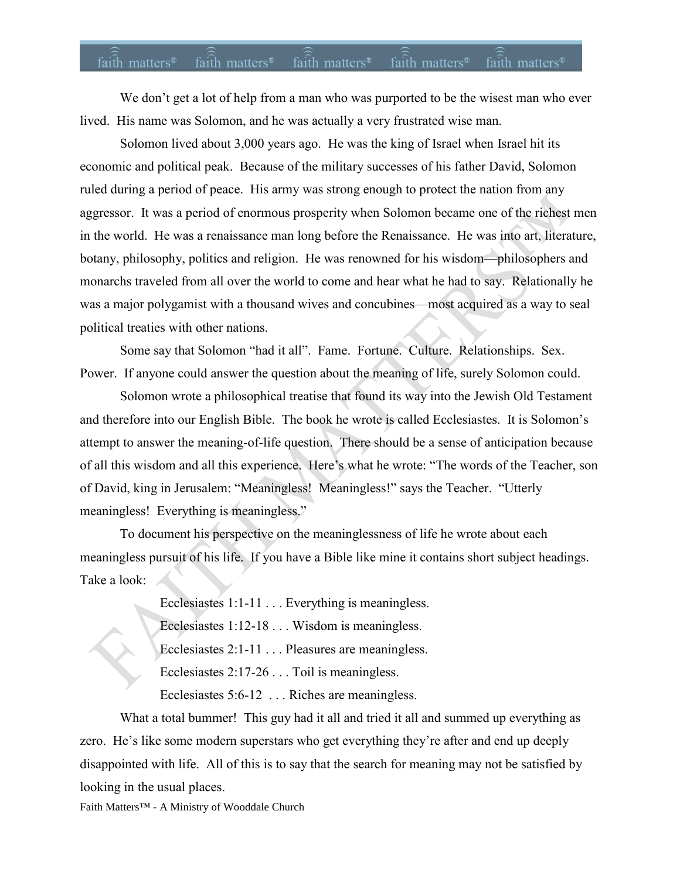#### faith matters<sup>®</sup> faith matters<sup>®</sup> faith matters<sup>®</sup> faith matters<sup>®</sup> faith matters<sup>®</sup>

We don't get a lot of help from a man who was purported to be the wisest man who ever lived. His name was Solomon, and he was actually a very frustrated wise man.

Solomon lived about 3,000 years ago. He was the king of Israel when Israel hit its economic and political peak. Because of the military successes of his father David, Solomon ruled during a period of peace. His army was strong enough to protect the nation from any aggressor. It was a period of enormous prosperity when Solomon became one of the richest men in the world. He was a renaissance man long before the Renaissance. He was into art, literature, botany, philosophy, politics and religion. He was renowned for his wisdom—philosophers and monarchs traveled from all over the world to come and hear what he had to say. Relationally he was a major polygamist with a thousand wives and concubines—most acquired as a way to seal political treaties with other nations.

Some say that Solomon "had it all". Fame. Fortune. Culture. Relationships. Sex. Power. If anyone could answer the question about the meaning of life, surely Solomon could.

Solomon wrote a philosophical treatise that found its way into the Jewish Old Testament and therefore into our English Bible. The book he wrote is called Ecclesiastes. It is Solomon's attempt to answer the meaning-of-life question. There should be a sense of anticipation because of all this wisdom and all this experience. Here's what he wrote: "The words of the Teacher, son of David, king in Jerusalem: "Meaningless! Meaningless!" says the Teacher. "Utterly meaningless! Everything is meaningless."

To document his perspective on the meaninglessness of life he wrote about each meaningless pursuit of his life. If you have a Bible like mine it contains short subject headings. Take a look:

Ecclesiastes 1:1-11 . . . Everything is meaningless.

Ecclesiastes 1:12-18 . . . Wisdom is meaningless.

Ecclesiastes 2:1-11 . . . Pleasures are meaningless.

Ecclesiastes 2:17-26 . . . Toil is meaningless.

Ecclesiastes 5:6-12 . . . Riches are meaningless.

What a total bummer! This guy had it all and tried it all and summed up everything as zero. He's like some modern superstars who get everything they're after and end up deeply disappointed with life. All of this is to say that the search for meaning may not be satisfied by looking in the usual places.

Faith Matters™ - A Ministry of Wooddale Church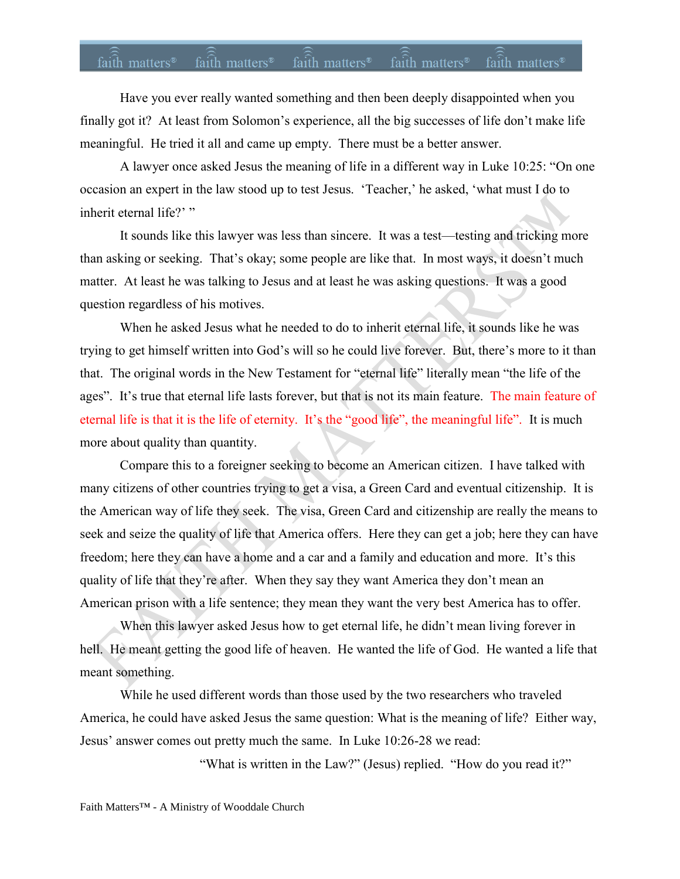## faith matters<sup>®</sup> faith matters<sup>®</sup> faith matters<sup>®</sup> faith matters<sup>®</sup> faith matters<sup>®</sup>

Have you ever really wanted something and then been deeply disappointed when you finally got it? At least from Solomon's experience, all the big successes of life don't make life meaningful. He tried it all and came up empty. There must be a better answer.

A lawyer once asked Jesus the meaning of life in a different way in Luke 10:25: "On one occasion an expert in the law stood up to test Jesus. 'Teacher,' he asked, 'what must I do to inherit eternal life?' "

It sounds like this lawyer was less than sincere. It was a test—testing and tricking more than asking or seeking. That's okay; some people are like that. In most ways, it doesn't much matter. At least he was talking to Jesus and at least he was asking questions. It was a good question regardless of his motives.

When he asked Jesus what he needed to do to inherit eternal life, it sounds like he was trying to get himself written into God's will so he could live forever. But, there's more to it than that. The original words in the New Testament for "eternal life" literally mean "the life of the ages". It's true that eternal life lasts forever, but that is not its main feature. The main feature of eternal life is that it is the life of eternity. It's the "good life", the meaningful life". It is much more about quality than quantity.

Compare this to a foreigner seeking to become an American citizen. I have talked with many citizens of other countries trying to get a visa, a Green Card and eventual citizenship. It is the American way of life they seek. The visa, Green Card and citizenship are really the means to seek and seize the quality of life that America offers. Here they can get a job; here they can have freedom; here they can have a home and a car and a family and education and more. It's this quality of life that they're after. When they say they want America they don't mean an American prison with a life sentence; they mean they want the very best America has to offer.

When this lawyer asked Jesus how to get eternal life, he didn't mean living forever in hell. He meant getting the good life of heaven. He wanted the life of God. He wanted a life that meant something.

While he used different words than those used by the two researchers who traveled America, he could have asked Jesus the same question: What is the meaning of life? Either way, Jesus' answer comes out pretty much the same. In Luke 10:26-28 we read:

"What is written in the Law?" (Jesus) replied. "How do you read it?"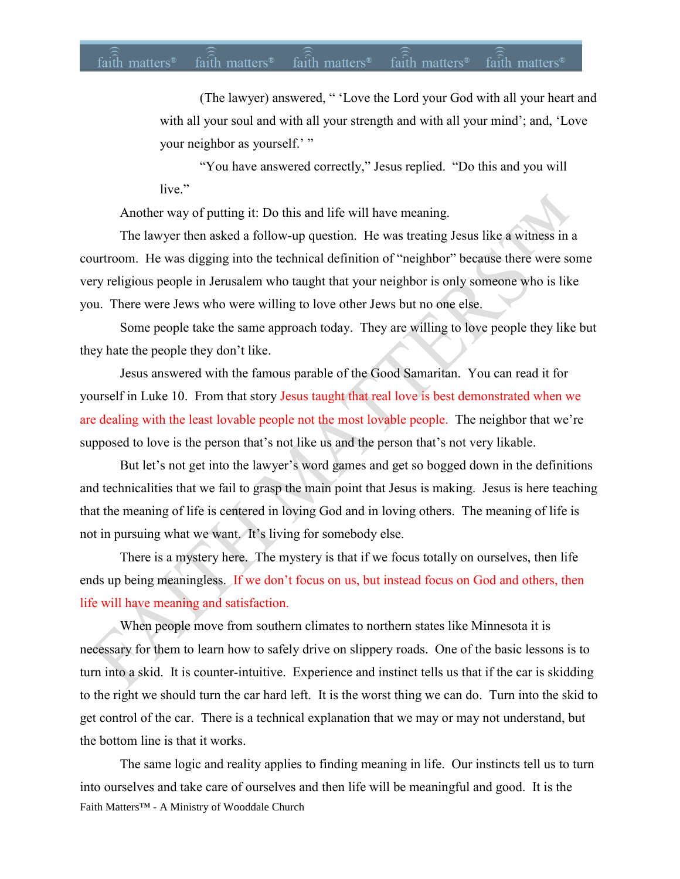## faith matters<sup>®</sup> faith matters<sup>®</sup> faith matters<sup>®</sup> faith matters<sup>®</sup> faith matters<sup>®</sup>

(The lawyer) answered, " 'Love the Lord your God with all your heart and with all your soul and with all your strength and with all your mind'; and, 'Love your neighbor as yourself.'"

"You have answered correctly," Jesus replied. "Do this and you will live."

Another way of putting it: Do this and life will have meaning.

The lawyer then asked a follow-up question. He was treating Jesus like a witness in a courtroom. He was digging into the technical definition of "neighbor" because there were some very religious people in Jerusalem who taught that your neighbor is only someone who is like you. There were Jews who were willing to love other Jews but no one else.

Some people take the same approach today. They are willing to love people they like but they hate the people they don't like.

Jesus answered with the famous parable of the Good Samaritan. You can read it for yourself in Luke 10. From that story Jesus taught that real love is best demonstrated when we are dealing with the least lovable people not the most lovable people. The neighbor that we're supposed to love is the person that's not like us and the person that's not very likable.

But let's not get into the lawyer's word games and get so bogged down in the definitions and technicalities that we fail to grasp the main point that Jesus is making. Jesus is here teaching that the meaning of life is centered in loving God and in loving others. The meaning of life is not in pursuing what we want. It's living for somebody else.

There is a mystery here. The mystery is that if we focus totally on ourselves, then life ends up being meaningless. If we don't focus on us, but instead focus on God and others, then life will have meaning and satisfaction.

When people move from southern climates to northern states like Minnesota it is necessary for them to learn how to safely drive on slippery roads. One of the basic lessons is to turn into a skid. It is counter-intuitive. Experience and instinct tells us that if the car is skidding to the right we should turn the car hard left. It is the worst thing we can do. Turn into the skid to get control of the car. There is a technical explanation that we may or may not understand, but the bottom line is that it works.

Faith Matters™ - A Ministry of Wooddale Church The same logic and reality applies to finding meaning in life. Our instincts tell us to turn into ourselves and take care of ourselves and then life will be meaningful and good. It is the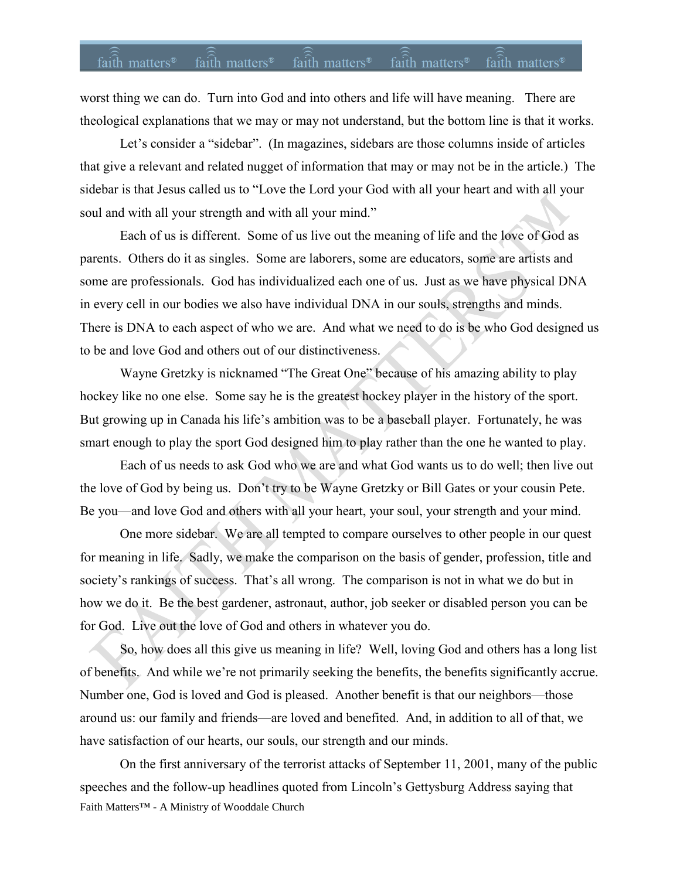### $faith$  matters<sup>®</sup> faith matters<sup>®</sup> faith matters<sup>®</sup> faith matters<sup>®</sup> faith matters<sup>®</sup>

worst thing we can do. Turn into God and into others and life will have meaning. There are theological explanations that we may or may not understand, but the bottom line is that it works.

Let's consider a "sidebar". (In magazines, sidebars are those columns inside of articles that give a relevant and related nugget of information that may or may not be in the article.) The sidebar is that Jesus called us to "Love the Lord your God with all your heart and with all your soul and with all your strength and with all your mind."

Each of us is different. Some of us live out the meaning of life and the love of God as parents. Others do it as singles. Some are laborers, some are educators, some are artists and some are professionals. God has individualized each one of us. Just as we have physical DNA in every cell in our bodies we also have individual DNA in our souls, strengths and minds. There is DNA to each aspect of who we are. And what we need to do is be who God designed us to be and love God and others out of our distinctiveness.

Wayne Gretzky is nicknamed "The Great One" because of his amazing ability to play hockey like no one else. Some say he is the greatest hockey player in the history of the sport. But growing up in Canada his life's ambition was to be a baseball player. Fortunately, he was smart enough to play the sport God designed him to play rather than the one he wanted to play.

Each of us needs to ask God who we are and what God wants us to do well; then live out the love of God by being us. Don't try to be Wayne Gretzky or Bill Gates or your cousin Pete. Be you—and love God and others with all your heart, your soul, your strength and your mind.

One more sidebar. We are all tempted to compare ourselves to other people in our quest for meaning in life. Sadly, we make the comparison on the basis of gender, profession, title and society's rankings of success. That's all wrong. The comparison is not in what we do but in how we do it. Be the best gardener, astronaut, author, job seeker or disabled person you can be for God. Live out the love of God and others in whatever you do.

So, how does all this give us meaning in life? Well, loving God and others has a long list of benefits. And while we're not primarily seeking the benefits, the benefits significantly accrue. Number one, God is loved and God is pleased. Another benefit is that our neighbors—those around us: our family and friends—are loved and benefited. And, in addition to all of that, we have satisfaction of our hearts, our souls, our strength and our minds.

Faith Matters™ - A Ministry of Wooddale Church On the first anniversary of the terrorist attacks of September 11, 2001, many of the public speeches and the follow-up headlines quoted from Lincoln's Gettysburg Address saying that